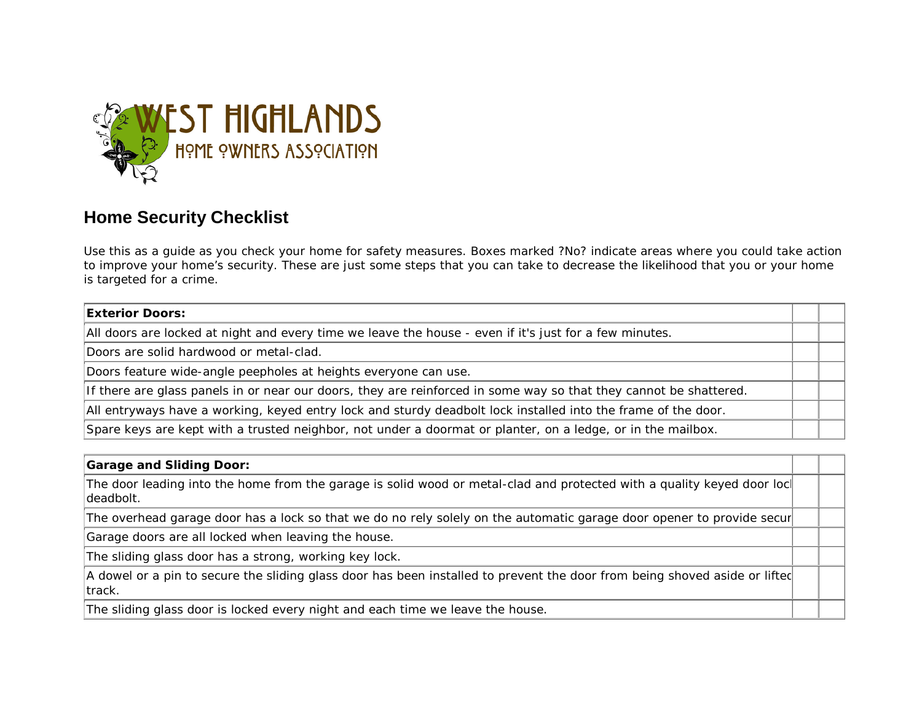

# **Home Security Checklist**

Use this as a guide as you check your home for safety measures. Boxes marked ?No? indicate areas where you could take action to improve your home's security. These are just some steps that you can take to decrease the likelihood that you or your home is targeted for a crime.

### **Exterior Doors:**

All doors are locked at night and every time we leave the house - even if it's just for a few minutes.

Doors are solid hardwood or metal-clad.

Doors feature wide-angle peepholes at heights everyone can use.

If there are glass panels in or near our doors, they are reinforced in some way so that they cannot be shattered.

All entryways have a working, keyed entry lock and sturdy deadbolt lock installed into the frame of the door.

Spare keys are kept with a trusted neighbor, not under a doormat or planter, on a ledge, or in the mailbox.

## **Garage and Sliding Door:**

The door leading into the home from the garage is solid wood or metal-clad and protected with a quality keyed door lock deadbolt.

The overhead garage door has a lock so that we do no rely solely on the automatic garage door opener to provide secur

Garage doors are all locked when leaving the house.

The sliding glass door has a strong, working key lock.

A dowel or a pin to secure the sliding glass door has been installed to prevent the door from being shoved aside or lifted track.

The sliding glass door is locked every night and each time we leave the house.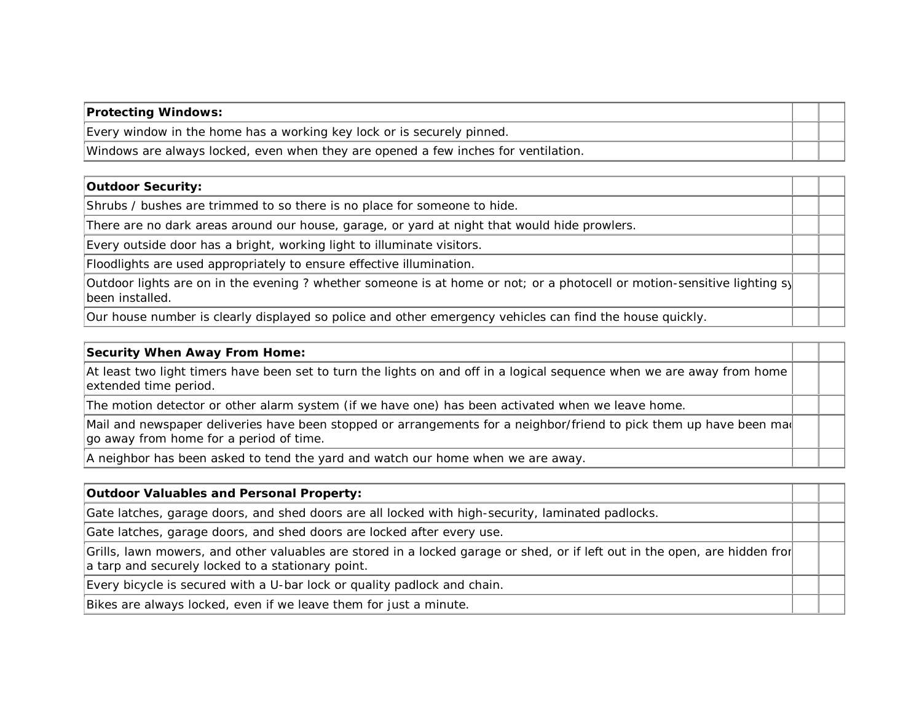| <b>Protecting Windows:</b>                                                         |  |
|------------------------------------------------------------------------------------|--|
| Every window in the home has a working key lock or is securely pinned.             |  |
| Windows are always locked, even when they are opened a few inches for ventilation. |  |

# **Outdoor Security:**

Shrubs / bushes are trimmed to so there is no place for someone to hide.

There are no dark areas around our house, garage, or yard at night that would hide prowlers.

Every outside door has a bright, working light to illuminate visitors.

Floodlights are used appropriately to ensure effective illumination.

Outdoor lights are on in the evening ? whether someone is at home or not; or a photocell or motion-sensitive lighting sy been installed.

Our house number is clearly displayed so police and other emergency vehicles can find the house quickly.

#### **Security When Away From Home:**

At least two light timers have been set to turn the lights on and off in a logical sequence when we are away from home extended time period.

The motion detector or other alarm system (if we have one) has been activated when we leave home.

Mail and newspaper deliveries have been stopped or arrangements for a neighbor/friend to pick them up have been mad  $\alpha$  away from home for a period of time.

A neighbor has been asked to tend the yard and watch our home when we are away.

### **Outdoor Valuables and Personal Property:**

Gate latches, garage doors, and shed doors are all locked with high-security, laminated padlocks.

Gate latches, garage doors, and shed doors are locked after every use.

Grills, lawn mowers, and other valuables are stored in a locked garage or shed, or if left out in the open, are hidden fror a tarp and securely locked to a stationary point.

Every bicycle is secured with a U-bar lock or quality padlock and chain.

Bikes are always locked, even if we leave them for just a minute.